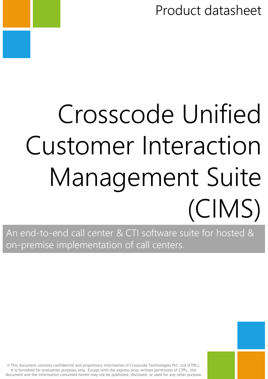Product datasheet

# Crosscode Unified Customer Interaction Management Suite (CIMS)

An end-to-end call center & CTI software suite for hosted & on-premise implementation of call centers.

© This document contains confidential and proprietary information of Crosscode Technologies Pvt. Ltd (CTPL). It is furnished for evaluation purposes only. Except with the express prior written permission of CTPL, this document and the information contained herein may not be published, disclosed, or used for any other purpose.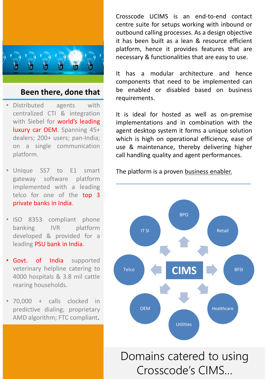

#### Been there, done that

- Distributed agents with centralized CTI & integration with Siebel for world's leading luxury car OEM. Spanning 45+ dealers; 200+ users; pan-India; on a single communication platform.
- Unique SS7 to E1 smart gateway software platform implemented with a leading telco for one of the top 3 private banks in India.
- ISO 8353 compliant phone banking IVR platform developed & provided for a leading PSU bank in India.
- Govt. of India supported veterinary helpline catering to 4000 hospitals & 3.8 mil cattle rearing households.
- 70,000 + calls clocked in predictive dialing; proprietary AMD algorithm; FTC compliant.

Crosscode UCIMS is an end-to-end contact centre suite for setups working with inbound or outbound calling processes. As a design objective it has been built as a lean & resource efficient platform, hence it provides features that are necessary & functionalities that are easy to use.

It has a modular architecture and hence components that need to be implemented can be enabled or disabled based on business requirements.

It is ideal for hosted as well as on-premise implementations and in combination with the agent desktop system it forms a unique solution which is high on operational efficiency, ease of use & maintenance, thereby delivering higher call handling quality and agent performances.

The platform is a proven business enabler.



## Domains catered to using Crosscode's CIMS…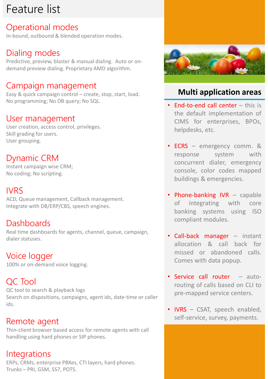## Feature list

#### Operational modes

In-bound, outbound & blended operation modes.

#### Dialing modes

Predictive, preview, blaster & manual dialing. Auto or ondemand preview dialing. Proprietary AMD algorithm.

#### Campaign management

Easy & quick campaign control – create, stop, start, load. No programming; No DB query; No SQL.

#### User management

User creation, access control, privileges. Skill grading for users. User grouping.

#### Dynamic CRM

Instant campaign wise CRM; No coding; No scripting.

#### IVRS

ACD, Queue management, Callback management. Integrate with DB/ERP/CBS, speech engines.

#### **Dashboards**

Real time dashboards for agents, channel, queue, campaign, dialer statuses.

#### Voice logger 100% or on-demand voice logging.

### QC Tool

QC tool to search & playback logs Search on dispositions, campaigns, agent ids, date-time or caller ids.

#### Remote agent

Thin-client browser based access for remote agents with call handling using hard phones or SIP phones.

#### Integrations

ERPs, CRMs, enterprise PBXes, CTI layers, hard phones. Trunks – PRI, GSM, SS7, POTS.



#### Multi application areas

- End-to-end call center this is the default implementation of CIMS for enterprises, BPOs, helpdesks, etc.
- ECRS emergency comm. & response system with concurrent dialer, emergency console, color codes mapped buildings & emergencies.
- Phone-banking IVR capable of integrating with core banking systems using ISO compliant modules.
- Call-back manager instant allocation & call back for missed or abandoned calls. Comes with data popup.
- Service call router autorouting of calls based on CLI to pre-mapped service centers.
- IVRS CSAT, speech enabled, self-service, survey, payments.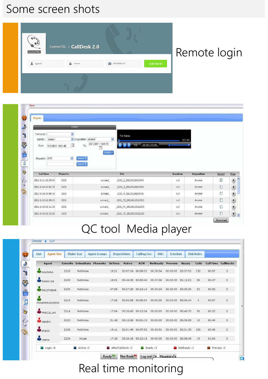### Some screen shots

| $\tilde{\bullet}$<br>CommTEL | CommTEL / CallDesk 2.0 |                 |           |
|------------------------------|------------------------|-----------------|-----------|
| ۰<br>agent1                  | 0.0000                 | 9916965415<br>胆 | Let me in |
|                              |                        |                 |           |

## Remote login

| Campaign:<br>suman1<br>Agents :<br>From                                                                    | Player<br>$\checkmark$<br>v                                   | $\checkmark$<br>Disposition : Answer                                | File Name              |                 |                    |              |
|------------------------------------------------------------------------------------------------------------|---------------------------------------------------------------|---------------------------------------------------------------------|------------------------|-----------------|--------------------|--------------|
| PhoneNO, 2101                                                                                              | $\overline{\phantom{a}}$<br>1/1/2011 14:01:46<br>$\checkmark$ | 25/1/2011 14:01:51<br>To:<br>$\overline{c}$<br>Submit &<br>Search Q | 00:00 / 00:00<br>0%    | 00/00           |                    |              |
|                                                                                                            |                                                               | Search Q                                                            | File                   |                 |                    |              |
| CallTime                                                                                                   | PhoneNo                                                       |                                                                     |                        | <b>Duration</b> | <b>Disposition</b> | Select       |
|                                                                                                            | 2101                                                          | suman1                                                              | 2101_1_20110111112940  | null            | Answer             | $\checkmark$ |
|                                                                                                            | 2101                                                          | suman1                                                              | 2101_3_20110114140151  | null            | Answer             | $\Box$       |
|                                                                                                            | 2101                                                          | suman1_                                                             | 2101_4_20110114140436  | null            | Answer             | □            |
|                                                                                                            | 2101                                                          | suman1_                                                             | 2101_73_20110118110903 | null            | Answer             | $\Box$       |
| 2011-1-11 11:29:40<br>2011-1-14 14:01:50<br>2011-1-14 14:04:36<br>2011-1-18 11:09:03<br>2011-1-18 11:11:08 | 2101                                                          | suman1                                                              | 2101_74_20110118111108 | null            | Answer             | Π            |

## QC tool Media player

| <b>Agent Stat</b><br><b>Stat</b> |      | <b>Dialer Stat</b>         | <b>Agent Groups</b> |        | <b>Dispositions</b> | <b>Calling List</b> | <b>DNC</b>      | <b>Schedule</b>   |          | <b>Dial Rules</b> |       |                           |
|----------------------------------|------|----------------------------|---------------------|--------|---------------------|---------------------|-----------------|-------------------|----------|-------------------|-------|---------------------------|
| Agent                            |      | ExtnsNo ExtnsState PhoneNo |                     | OnTime | <b>Active</b>       | <b>ACW</b>          | <b>NotReady</b> | <b>Preview</b>    | Ready    | Calls             |       | <b>CallTime CallBacks</b> |
| KAI PANA                         | 2103 | NotInUse                   |                     | 18:21  |                     | 02:07:19 00:09:22   | 00:38:54        | 00:00:00          | 02:37:53 | 132               | 00:57 | $\circ$                   |
| <b>MAHATAB</b>                   | 2135 | NotInUse                   |                     | 18:01  |                     | 00:46:33 00:53:46   | 00:27:36        | 00:00:00 01:12:01 |          | 59                | 00:47 | $\circ$                   |
| <b>PAVITHRAR</b>                 | 2105 | NotInUse                   |                     | 47:08  |                     | 00:27:20 00:13:16   | 00:39:24        | 00:00:00          | 03:58:30 | 53                | 00:30 | $\circ$                   |
| PRASANNAKUMAR                    | 2110 | NotInUse                   |                     | 17:26  |                     | 00:02:28 00:00:34   | 00:00:00        | 00:00:00          | 00:06:14 | $\overline{4}$    | 00:37 | $\mathbf{0}$              |
| PRECILLAR                        | 2114 | NotInUse                   |                     | 17:04  |                     | 00:20:43 00:12:34   | 00:05:50        | 00:00:00 00:40:33 |          | 55                | 00:22 | $\circ$                   |
| nandini                          | 2120 | NotInUse                   |                     | 51:48  |                     | 00:12:06 00:01:19   | 00:00:00        | 00:00:00 00:38:08 |          | 15                | 00:48 | $\circ$                   |
| shalini                          | 2106 | NotInUse                   |                     | 19:11  |                     | 02:01:48 00:37:52   | 00:29:51        | 00:00:00 02:31:39 |          | 152               | 00:48 | $\circ$                   |
| veena                            | 2104 | InUse                      |                     | 17:18  |                     | 00:20:18 00:12:18   | 00:00:00        | 00:00:00          | 00:08:49 | 19                | 01:04 | 0                         |

## Real time monitoring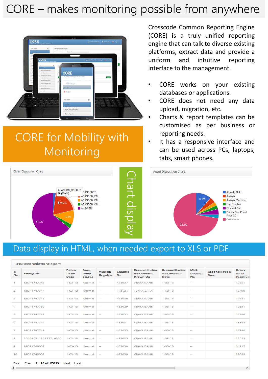## CORE – makes monitoring possible from anywhere



## CORE for Mobility with Monitoring



Crosscode Common Reporting Engine (CORE) is a truly unified reporting engine that can talk to diverse existing platforms, extract data and provide a uniform and intuitive reporting interface to the management.

- CORE works on your existing databases or applications.
- CORE does not need any data upload, migration, etc.
- Charts & report templates can be customised as per business or reporting needs.
- It has a responsive interface and can be used across PCs, laptops, tabs, smart phones.



#### Data display in HTML, when needed export to XLS or PDF

#### INSReconcilationReport

| <b>SI</b><br>No. | <b>Policy No</b>                              | <b>Policy</b><br><b>Issue</b><br><b>Date</b> | Auto<br><b>Debit</b><br><b>Status</b> | Vehicle<br><b>RegnNo</b> | <b>Cheque</b><br><b>No</b> | <b>Reconciliation</b><br><b>Instrument</b><br>Drawn On | <b>Reconciliation</b><br>Instrument<br><b>Date</b> | <b>MUL</b><br><b>Deposit</b><br><b>No</b> | <b>Reconciliation</b><br><b>Date</b> | Gross<br><b>Total</b><br>Premiun |  |  |  |
|------------------|-----------------------------------------------|----------------------------------------------|---------------------------------------|--------------------------|----------------------------|--------------------------------------------------------|----------------------------------------------------|-------------------------------------------|--------------------------------------|----------------------------------|--|--|--|
| 1.               | MOP1747743                                    | $1 - 03 - 13$                                | Normal                                | $\sim$                   | 483027                     | <b>VIJAYA BANK</b>                                     | $1 - 03 - 13$                                      | $\sim$                                    |                                      | 12651                            |  |  |  |
| $\overline{2}$   | MOP1747744                                    | $1 - 03 - 13$                                | Normal                                | $\sim$                   | 433020                     | VEIAYA, BANK                                           | $1 - C3 - 13$                                      | $\sim$                                    |                                      | 12790                            |  |  |  |
| 3                | MOP1747746                                    | $1 - 03 - 13$                                | Normal                                | $\sim$                   | 483030                     | <b>VIJAYA BANK</b>                                     | $7 - 03 - 13$                                      | $\sim$                                    |                                      | 12651                            |  |  |  |
| 4                | MOP1747750                                    | $1 - 03 - 13$                                | Normal                                | $\sim$                   | 483029                     | <b>VIJAYA BANK</b>                                     | $1 - 03 - 13$                                      | $\overline{\phantom{a}}$                  |                                      | 12651                            |  |  |  |
| 5                | MOP1747748                                    | $1 - 03 - 13$                                | Normal                                | $\sim$                   | 483032                     | <b>VIIAYA BANK</b>                                     | $1 - 03 - 13$                                      | $\sim$                                    |                                      | 12790                            |  |  |  |
| 6                | MOP1747747                                    | $1 - 03 - 13$                                | Normal                                | $\sim$                   | 483031                     | <b>VIIAYA BANK</b>                                     | $1 - 03 - 13$                                      | $\sim$                                    |                                      | 13388                            |  |  |  |
| $\overline{7}$   | MOP1747749                                    | $1 - 03 - 13$                                | Normal                                | $\sim$                   | 483033                     | <b>VIJAYA BANK</b>                                     | $1 - 03 - 13$                                      | $\sim$                                    |                                      | 12790                            |  |  |  |
| 8                | 35101031126132716220                          | $1 - 03 - 13$                                | Normal                                | $\sim$                   | 483035                     | <b>VIJAYA BANK</b>                                     | $1 - 03 - 13$                                      | $\sim$                                    |                                      | 22552                            |  |  |  |
| 9                | MOP1748037                                    | $1 - 03 - 13$                                | Normal                                | $\sim$                   | 483038                     | <b>VIJAYA BANK</b>                                     | $1 - 03 - 13$                                      | $\sim$                                    |                                      | 14117                            |  |  |  |
| 10               | MOP1748052                                    | $1 - 03 - 13$                                | Normal                                | $\sim$                   | 483039                     | <b>VIJAYA BANK</b>                                     | $1 - 03 - 13$                                      | $\sim$                                    |                                      | 23088                            |  |  |  |
|                  | 1 - 10 of 17613<br>Prev<br>First<br>Next Last |                                              |                                       |                          |                            |                                                        |                                                    |                                           |                                      |                                  |  |  |  |